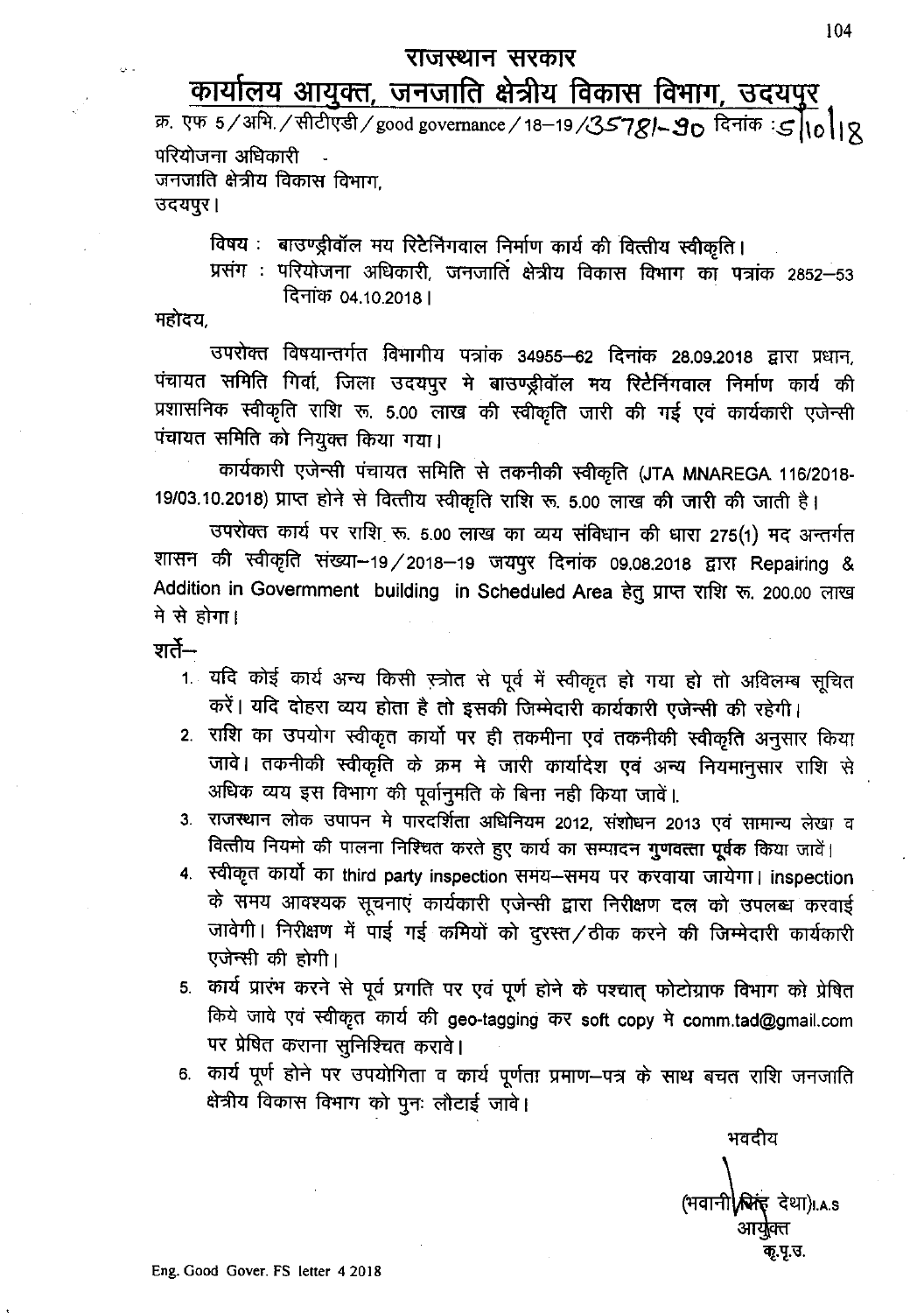## राजस्थान सरकार

## <u>कार्यालय आयुक्त, जनजाति क्षेत्रीय विकास विभाग, उदयपुर</u>

क्र. एफ 5/अभि. /सीटीएडी / good governance / 18-19 /35781-90 दिनांक: 51018 परियोजना अधिकारी जनजाति क्षेत्रीय विकास विभाग उदयपुर।

विषय: बाउण्ड्रीवॉल मय रिटेनिंगवाल निर्माण कार्य की वित्तीय स्वीकृति।

प्रसंग : परियोजना अधिकारी, जनजाति क्षेत्रीय विकास विभाग का पत्रांक 2852-53 दिनांक 04.10.2018 ।

महोदय

उपरोक्त विषयान्तर्गत विभागीय पत्रांक 34955–62 दिनांक 28.09.2018 द्वारा प्रधान, पंचायत समिति गिर्वा, जिला उदयपुर मे बाउण्ड्रीवॉल मय रिटेर्निगवाल निर्माण कार्य की प्रशासनिक स्वीकृति राशि रू. 5.00 लाख की स्वीकृति जारी की गई एवं कार्यकारी एजेन्सी पंचायत समिति को नियुक्त किया गया।

कार्यकारी एजेन्सी पंचायत समिति से तकनीकी स्वीकृति (JTA MNAREGA 116/2018-19/03.10.2018) प्राप्त होने से वित्तीय स्वीकृति राशि रू. 5.00 लाख की जारी की जाती है।

उपरोक्त कार्य पर राशि रू. 5.00 लाख का व्यय संविधान की धारा 275(1) मद अन्तर्गत शासन की स्वीकृति संख्या-19/2018-19 जयपुर दिनांक 09.08.2018 द्वारा Repairing & Addition in Govermment building in Scheduled Area हेतु प्राप्त राशि रू. 200.00 लाख मे से होगा।

शर्ते—

- 1. यदि कोई कार्य अन्य किसी स्त्रोत से पूर्व में स्वीकृत हो गया हो तो अविलम्ब सूचित करें। यदि दोहरा व्यय होता है तो इसकी जिम्मेदारी कार्यकारी एजेन्सी की रहेगी।
- 2. राशि का उपयोग स्वीकृत कार्यो पर ही तकमीना एवं तकनीकी स्वीकृति अनुसार किया जावे। तकनीकी स्वीकृति के क्रम मे जारी कार्यादेश एवं अन्य नियमानुसार राशि से अधिक व्यय इस विभाग की पूर्वानुमति के बिना नही किया जावें।.
- 3. राजस्थान लोक उपापन मे पारदर्शिता अधिनियम 2012, संशोधन 2013 एवं सामान्य लेखा व वित्तीय नियमो की पालना निश्चित करते हुए कार्य का सम्पादन गुणवत्ता पूर्वक किया जावें।
- 4. स्वीकृत कार्यों का third party inspection समय-समय पर करवाया जायेगा। inspection के समय आवश्यक सूचनाएं कार्यकारी एजेन्सी द्वारा निरीक्षण दल को उपलब्ध करवाई जावेगी। निरीक्षण में पाई गई कमियों को दुरस्त/ठीक करने की जिम्मेदारी कार्यकारी एजेन्सी की होगी।
- 5. कार्य प्रारंभ करने से पूर्व प्रगति पर एवं पूर्ण होने के पश्चात् फोटोग्राफ विभाग को प्रेषित किये जावे एवं स्वीकृत कार्य की geo-tagging कर soft copy मे comm.tad@gmail.com पर प्रेषित कराना सुनिश्चित करावे।
- 6. कार्य पूर्ण होने पर उपयोगिता व कार्य पूर्णता प्रमाण–पत्र के साथ बचत राशि जनजाति क्षेत्रीय विकास विभाग को पुनः लौटाई जावे।

भवदीय (भवानी**\स्रिहं** देथा)...s तृ.पृ.उ.